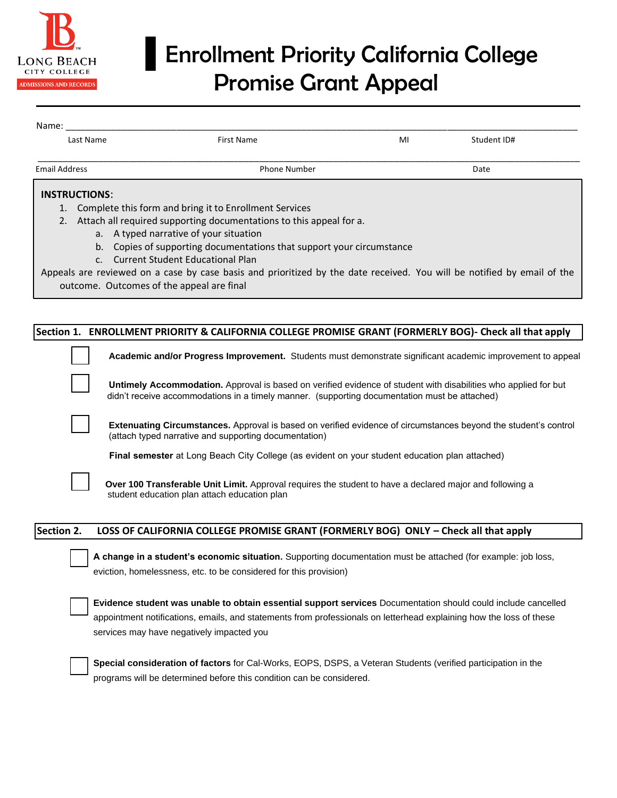

## ▌Enrollment Priority California College Promise Grant Appeal

| Name:                |                                                                       |                                                                                                                         |    |             |  |  |
|----------------------|-----------------------------------------------------------------------|-------------------------------------------------------------------------------------------------------------------------|----|-------------|--|--|
|                      | Last Name                                                             | <b>First Name</b>                                                                                                       | MI | Student ID# |  |  |
| <b>Email Address</b> |                                                                       | <b>Phone Number</b>                                                                                                     |    | Date        |  |  |
|                      | <b>INSTRUCTIONS:</b>                                                  |                                                                                                                         |    |             |  |  |
|                      |                                                                       | Complete this form and bring it to Enrollment Services                                                                  |    |             |  |  |
|                      | Attach all required supporting documentations to this appeal for a.   |                                                                                                                         |    |             |  |  |
|                      |                                                                       | a. A typed narrative of your situation                                                                                  |    |             |  |  |
|                      | b. Copies of supporting documentations that support your circumstance |                                                                                                                         |    |             |  |  |
|                      |                                                                       | c. Current Student Educational Plan                                                                                     |    |             |  |  |
|                      |                                                                       | Appeals are reviewed on a case by case basis and prioritized by the date received. You will be notified by email of the |    |             |  |  |
|                      | outcome. Outcomes of the appeal are final                             |                                                                                                                         |    |             |  |  |

|            | Section 1. ENROLLMENT PRIORITY & CALIFORNIA COLLEGE PROMISE GRANT (FORMERLY BOG)- Check all that apply                                                                                                                                                                            |
|------------|-----------------------------------------------------------------------------------------------------------------------------------------------------------------------------------------------------------------------------------------------------------------------------------|
|            | Academic and/or Progress Improvement. Students must demonstrate significant academic improvement to appeal                                                                                                                                                                        |
|            | Untimely Accommodation. Approval is based on verified evidence of student with disabilities who applied for but<br>didn't receive accommodations in a timely manner. (supporting documentation must be attached)                                                                  |
|            | <b>Extenuating Circumstances.</b> Approval is based on verified evidence of circumstances beyond the student's control<br>(attach typed narrative and supporting documentation)                                                                                                   |
|            | Final semester at Long Beach City College (as evident on your student education plan attached)                                                                                                                                                                                    |
|            | Over 100 Transferable Unit Limit. Approval requires the student to have a declared major and following a<br>student education plan attach education plan                                                                                                                          |
| Section 2. | LOSS OF CALIFORNIA COLLEGE PROMISE GRANT (FORMERLY BOG) ONLY - Check all that apply                                                                                                                                                                                               |
|            | A change in a student's economic situation. Supporting documentation must be attached (for example: job loss,<br>eviction, homelessness, etc. to be considered for this provision)                                                                                                |
|            | Evidence student was unable to obtain essential support services Documentation should could include cancelled<br>appointment notifications, emails, and statements from professionals on letterhead explaining how the loss of these<br>services may have negatively impacted you |
|            | Special consideration of factors for Cal-Works, EOPS, DSPS, a Veteran Students (verified participation in the<br>programs will be determined before this condition can be considered.                                                                                             |